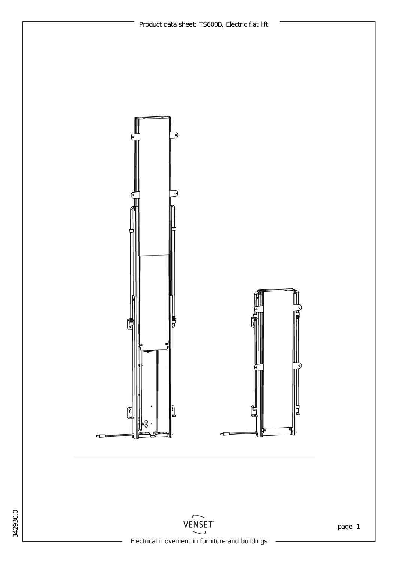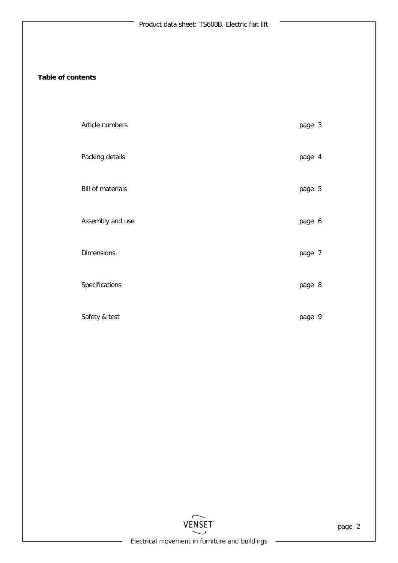## **Table of contents**

| Article numbers   | page 3 |  |
|-------------------|--------|--|
| Packing details   | page 4 |  |
| Bill of materials | page 5 |  |
| Assembly and use  | page 6 |  |
| Dimensions        | page 7 |  |
| Specifications    | page 8 |  |
| Safety & test     | page 9 |  |

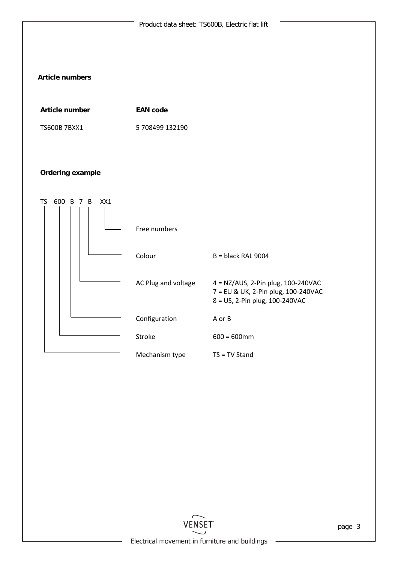

Electrical movement in furniture and buildings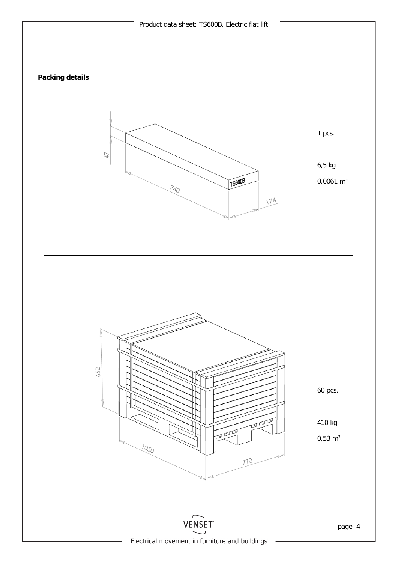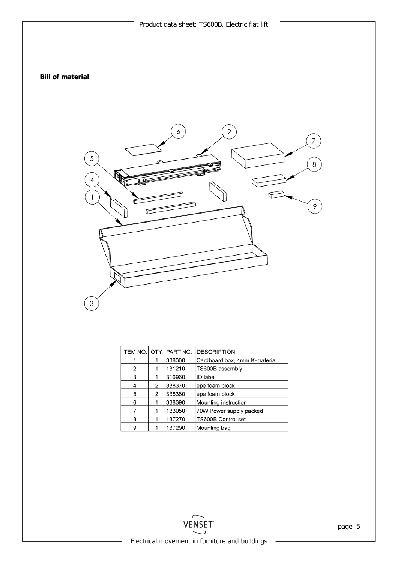## **Bill of material**



| ITEM NO.   QTY. |   | PART NO. | <b>DESCRIPTION</b>            |
|-----------------|---|----------|-------------------------------|
|                 |   | 338360   | Cardboard box, 4mm K-material |
| 2               | 1 | 131210   | TS600B assembly               |
| 3               |   | 316960   | ID label                      |
| 4               | 2 | 338370   | epe foam block                |
| 5               | 2 | 338380   | epe foam block                |
| 6               |   | 338390   | Mounting instruction          |
|                 | 1 | 133050   | 70W Power supply packed       |
| 8               |   | 137270   | TS600B Control set            |
| 9               |   | 137290   | Mounting bag                  |

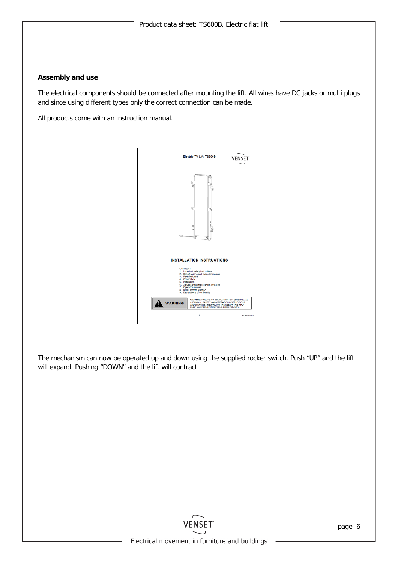### **Assembly and use**

The electrical components should be connected after mounting the lift. All wires have DC jacks or multi plugs and since using different types only the correct connection can be made.

All products come with an instruction manual.



The mechanism can now be operated up and down using the supplied rocker switch. Push "UP" and the lift will expand. Pushing "DOWN" and the lift will contract.

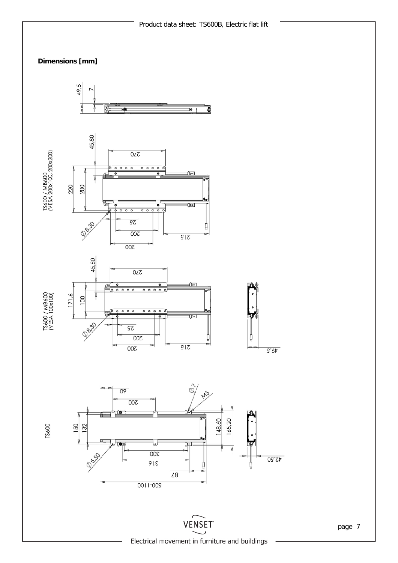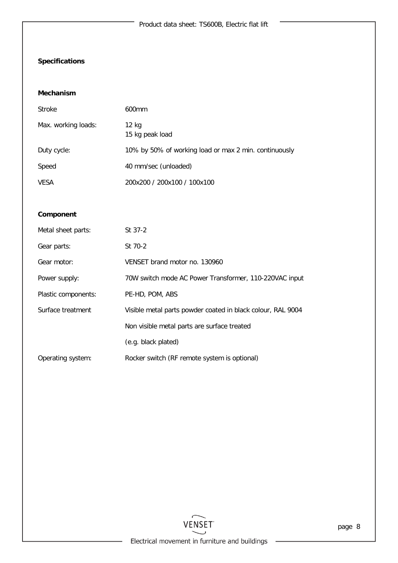# **Specifications**

#### **Mechanism**

| Stroke              | 600 <sub>mm</sub>                                     |
|---------------------|-------------------------------------------------------|
| Max. working loads: | 12 kg<br>15 kg peak load                              |
| Duty cycle:         | 10% by 50% of working load or max 2 min. continuously |
| Speed               | 40 mm/sec (unloaded)                                  |
| <b>VESA</b>         | 200x200 / 200x100 / 100x100                           |

#### **Component**

| Metal sheet parts:  | St 37-2                                                     |
|---------------------|-------------------------------------------------------------|
| Gear parts:         | St 70-2                                                     |
| Gear motor:         | VENSET brand motor no. 130960                               |
| Power supply:       | 70W switch mode AC Power Transformer, 110-220VAC input      |
| Plastic components: | PE-HD, POM, ABS                                             |
| Surface treatment   | Visible metal parts powder coated in black colour, RAL 9004 |
|                     | Non visible metal parts are surface treated                 |
|                     | (e.g. black plated)                                         |
| Operating system:   | Rocker switch (RF remote system is optional)                |